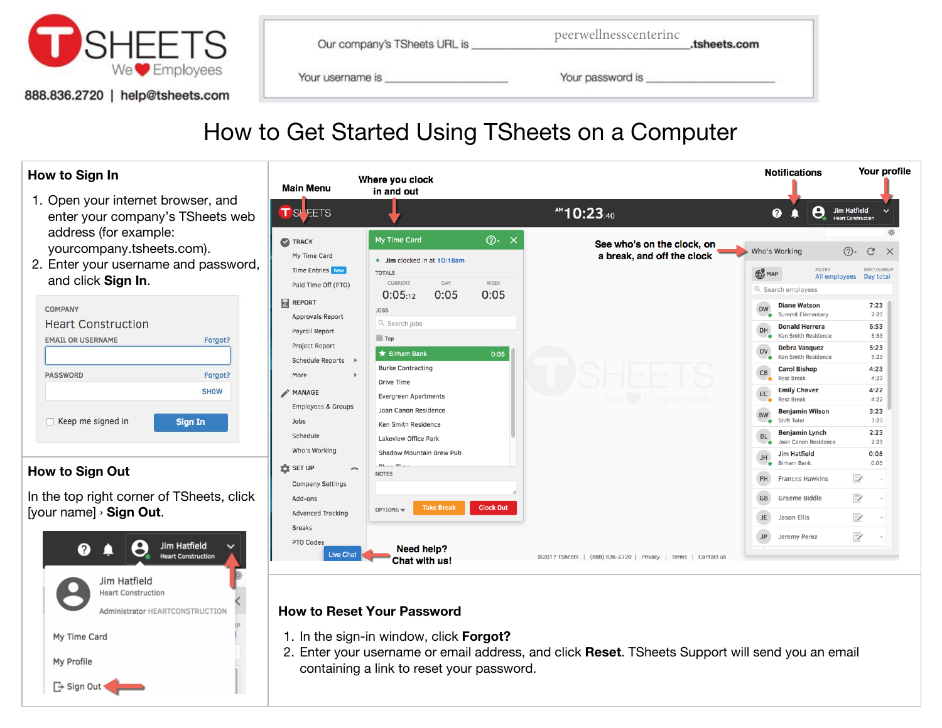

888.836.2720 | help@tsheets.com

| Our company's TSheets URL is | peerwellnesscentering | .tsheets.com |
|------------------------------|-----------------------|--------------|
| Your username is             | Your password is      |              |

## How to Get Started Using TSheets on a Computer

| How to Sign In                                                                                                                                             | <b>Main Menu</b>                                                                                                                                                                                                           | Where you clock<br>in and out                                                                                                                                                                                                                                                |                                                                                                  | <b>Notifications</b>                                                                                                                                                                                                                                                                                                                                                                   | Your profile                                                                                         |
|------------------------------------------------------------------------------------------------------------------------------------------------------------|----------------------------------------------------------------------------------------------------------------------------------------------------------------------------------------------------------------------------|------------------------------------------------------------------------------------------------------------------------------------------------------------------------------------------------------------------------------------------------------------------------------|--------------------------------------------------------------------------------------------------|----------------------------------------------------------------------------------------------------------------------------------------------------------------------------------------------------------------------------------------------------------------------------------------------------------------------------------------------------------------------------------------|------------------------------------------------------------------------------------------------------|
| 1. Open your internet browser, and<br>enter your company's TSheets web                                                                                     | TS <b>EETS</b>                                                                                                                                                                                                             |                                                                                                                                                                                                                                                                              | <sup>AM</sup> 10:23:40                                                                           | 8<br>❷<br>п                                                                                                                                                                                                                                                                                                                                                                            | Jim Hatfield<br><b>Heart Construction</b>                                                            |
| address (for example:<br>yourcompany.tsheets.com).<br>2. Enter your username and password,<br>and click Sign In.                                           | <b>TRACK</b><br>My Time Card<br><b>Time Entries</b> New                                                                                                                                                                    | $\odot$ $\times$<br>My Time Card<br>• Jim clocked in at 10:18am<br><b>TOTALS</b>                                                                                                                                                                                             | See who's on the clock, on<br>a break, and off the clock                                         | Who's Working<br><b>FILTER</b><br><b>B</b> MAP                                                                                                                                                                                                                                                                                                                                         | $\circledcirc$<br>$\mathcal{C}$<br>$\times$<br>SORT/GROUP<br>All employees Day total                 |
| COMPANY<br><b>Heart Construction</b><br><b>EMAIL OR USERNAME</b><br>Forgot?<br>PASSWORD<br>Forgot?<br><b>SHOW</b><br>□ Keep me signed in<br><b>Sign In</b> | Paid Time Off (PTO)<br><b>REPORT</b><br><b>Approvals Report</b><br>Payroll Report<br><b>Project Report</b><br><b>Schedule Reports</b><br>More<br><b>MANAGE</b><br><b>Employees &amp; Groups</b><br>Jobs<br><b>Schedule</b> | <b>CURRENT</b><br>DAY<br>WEEK<br>0:05<br>0:05<br>0:05:12<br><b>JOBS</b><br>Q Search jobs<br>$\Box$ Top<br><b>★ Birham Bank</b><br>0:05<br><b>Burke Contracting</b><br><b>Drive Time</b><br><b>Evergreen Apartments</b><br>Joan Canon Residence<br><b>Ken Smith Residence</b> |                                                                                                  | Q Search employees<br><b>Diane Watson</b><br><b>DW</b><br>Summit Elementary<br><b>Donald Herrera</b><br>DH<br><b>Ken Smith Residence</b><br>Debra Vasquez<br><b>DV</b><br>Ken Smith Residence<br><b>Carol Bishop</b><br>CB<br><b>Rest Break</b><br><b>Emily Chavez</b><br>EC<br><b>Rest Break</b><br><b>Benjamin Wilson</b><br><b>BW</b><br>Shift Total<br>Benjamin Lynch<br><b>BL</b> | 7:23<br>7:23<br>6:53<br>6:53<br>5:23<br>5:23<br>4:23<br>4:23<br>4:22<br>4:22<br>3:23<br>3:23<br>2:23 |
| How to Sign Out<br>In the top right corner of TSheets, click<br>[your name] > Sign Out.<br>Jim Hatfield<br>❷<br><b>Heart Construction</b>                  | Who's Working<br><b>DE</b> SET UP<br><b>Company Settings</b><br>Add-ons<br><b>Advanced Tracking</b><br><b>Breaks</b><br><b>PTO Codes</b><br><b>Live Chat</b>                                                               | Lakeview Office Park<br>Shadow Mountain Brew Pub<br>$R$ <sub>han</sub> Time<br><b>NOTES</b><br><b>Clock Out</b><br><b>Take Break</b><br>OPTIONS =<br><b>Need help?</b><br><b>Chat with us!</b>                                                                               | ©2017 TSheets   (888) 836-2720   Privacy   Terms   Contact us                                    | Joan Canon Residence<br><b>Jim Hatfield</b><br>JH<br><b>Birham Bank</b><br>FH<br><b>Frances Hawkins</b><br><b>Graeme Biddle</b><br><b>GB</b><br><b>Jason Ellis</b><br>JE<br><b>JP</b><br>Jeremy Perez                                                                                                                                                                                  | 2:23<br>0:05<br>0:05<br>Þ<br>$\mathbb{E}^{\prime}$<br>$\mathbb{E}$<br>₽                              |
| Jim Hatfield<br><b>Heart Construction</b><br>Administrator HEARTCONSTRUCTION<br>My Time Card<br>My Profile<br>Sign Out                                     |                                                                                                                                                                                                                            | <b>How to Reset Your Password</b><br>1. In the sign-in window, click Forgot?<br>containing a link to reset your password.                                                                                                                                                    | 2. Enter your username or email address, and click Reset. TSheets Support will send you an email |                                                                                                                                                                                                                                                                                                                                                                                        |                                                                                                      |